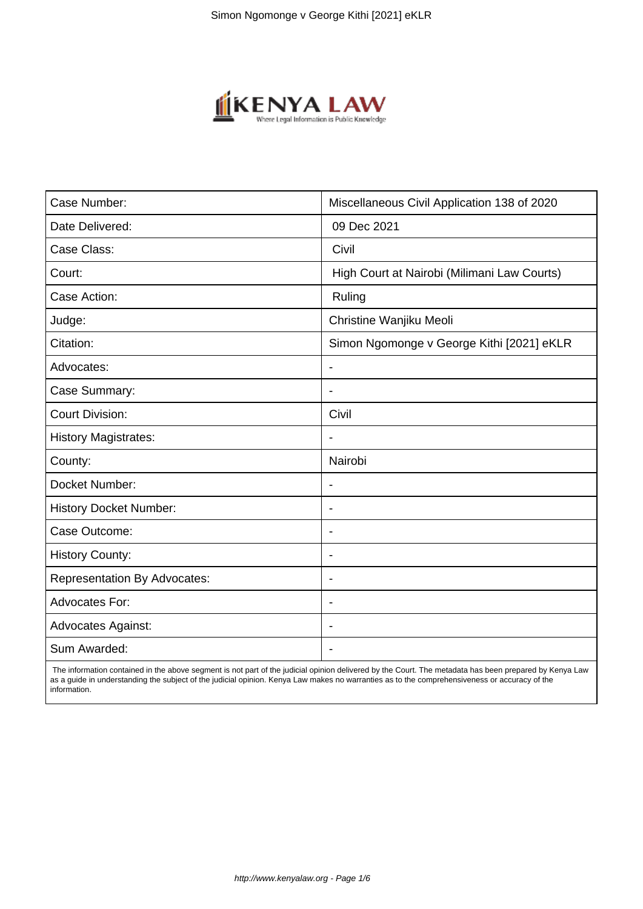

| Case Number:                        | Miscellaneous Civil Application 138 of 2020 |
|-------------------------------------|---------------------------------------------|
| Date Delivered:                     | 09 Dec 2021                                 |
| Case Class:                         | Civil                                       |
| Court:                              | High Court at Nairobi (Milimani Law Courts) |
| Case Action:                        | Ruling                                      |
| Judge:                              | Christine Wanjiku Meoli                     |
| Citation:                           | Simon Ngomonge v George Kithi [2021] eKLR   |
| Advocates:                          | $\overline{\phantom{a}}$                    |
| Case Summary:                       | $\overline{\phantom{0}}$                    |
| <b>Court Division:</b>              | Civil                                       |
| <b>History Magistrates:</b>         |                                             |
| County:                             | Nairobi                                     |
| Docket Number:                      |                                             |
| <b>History Docket Number:</b>       | $\blacksquare$                              |
| Case Outcome:                       | $\overline{\phantom{a}}$                    |
| <b>History County:</b>              | $\overline{\phantom{a}}$                    |
| <b>Representation By Advocates:</b> | $\blacksquare$                              |
| <b>Advocates For:</b>               | $\overline{\phantom{a}}$                    |
| <b>Advocates Against:</b>           |                                             |
| Sum Awarded:                        |                                             |

 The information contained in the above segment is not part of the judicial opinion delivered by the Court. The metadata has been prepared by Kenya Law as a guide in understanding the subject of the judicial opinion. Kenya Law makes no warranties as to the comprehensiveness or accuracy of the information.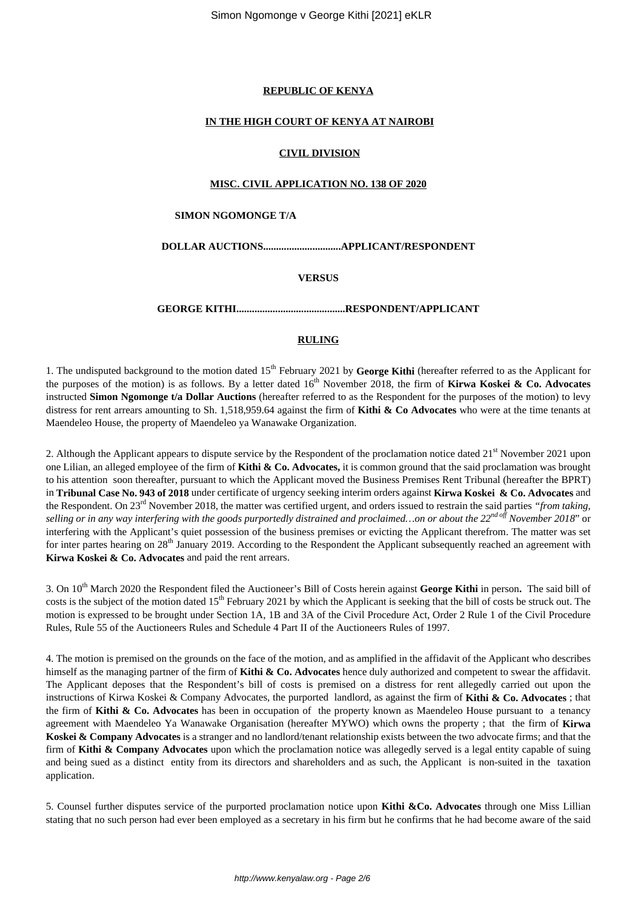## **REPUBLIC OF KENYA**

# **IN THE HIGH COURT OF KENYA AT NAIROBI**

# **CIVIL DIVISION**

## **MISC. CIVIL APPLICATION NO. 138 OF 2020**

#### **SIMON NGOMONGE T/A**

**DOLLAR AUCTIONS..............................APPLICANT/RESPONDENT**

# **VERSUS**

**GEORGE KITHI..........................................RESPONDENT/APPLICANT**

# **RULING**

1. The undisputed background to the motion dated 15<sup>th</sup> February 2021 by George Kithi (hereafter referred to as the Applicant for the purposes of the motion) is as follows. By a letter dated 16<sup>th</sup> November 2018, the firm of **Kirwa Koskei & Co. Advocates** instructed **Simon Ngomonge t/a Dollar Auctions** (hereafter referred to as the Respondent for the purposes of the motion) to levy distress for rent arrears amounting to Sh. 1,518,959.64 against the firm of **Kithi & Co Advocates** who were at the time tenants at Maendeleo House, the property of Maendeleo ya Wanawake Organization.

2. Although the Applicant appears to dispute service by the Respondent of the proclamation notice dated  $21<sup>st</sup>$  November 2021 upon one Lilian, an alleged employee of the firm of **Kithi & Co. Advocates,** it is common ground that the said proclamation was brought to his attention soon thereafter, pursuant to which the Applicant moved the Business Premises Rent Tribunal (hereafter the BPRT) in **Tribunal Case No. 943 of 2018** under certificate of urgency seeking interim orders against **Kirwa Koskei & Co. Advocates** and the Respondent. On 23rd November 2018, the matter was certified urgent, and orders issued to restrain the said parties *"from taking, selling or in any way interfering with the goods purportedly distrained and proclaimed…on or about the 22nd off November 2018*" or interfering with the Applicant's quiet possession of the business premises or evicting the Applicant therefrom. The matter was set for inter partes hearing on 28<sup>th</sup> January 2019. According to the Respondent the Applicant subsequently reached an agreement with **Kirwa Koskei & Co. Advocates** and paid the rent arrears.

3. On 10th March 2020 the Respondent filed the Auctioneer's Bill of Costs herein against **George Kithi** in person**.** The said bill of costs is the subject of the motion dated 15<sup>th</sup> February 2021 by which the Applicant is seeking that the bill of costs be struck out. The motion is expressed to be brought under Section 1A, 1B and 3A of the Civil Procedure Act, Order 2 Rule 1 of the Civil Procedure Rules, Rule 55 of the Auctioneers Rules and Schedule 4 Part II of the Auctioneers Rules of 1997.

4. The motion is premised on the grounds on the face of the motion, and as amplified in the affidavit of the Applicant who describes himself as the managing partner of the firm of **Kithi & Co. Advocates** hence duly authorized and competent to swear the affidavit. The Applicant deposes that the Respondent's bill of costs is premised on a distress for rent allegedly carried out upon the instructions of Kirwa Koskei & Company Advocates, the purported landlord, as against the firm of **Kithi & Co. Advocates** ; that the firm of **Kithi & Co. Advocates** has been in occupation of the property known as Maendeleo House pursuant to a tenancy agreement with Maendeleo Ya Wanawake Organisation (hereafter MYWO) which owns the property ; that the firm of **Kirwa Koskei & Company Advocates** is a stranger and no landlord/tenant relationship exists between the two advocate firms; and that the firm of **Kithi & Company Advocates** upon which the proclamation notice was allegedly served is a legal entity capable of suing and being sued as a distinct entity from its directors and shareholders and as such, the Applicant is non-suited in the taxation application.

5. Counsel further disputes service of the purported proclamation notice upon **Kithi &Co. Advocates** through one Miss Lillian stating that no such person had ever been employed as a secretary in his firm but he confirms that he had become aware of the said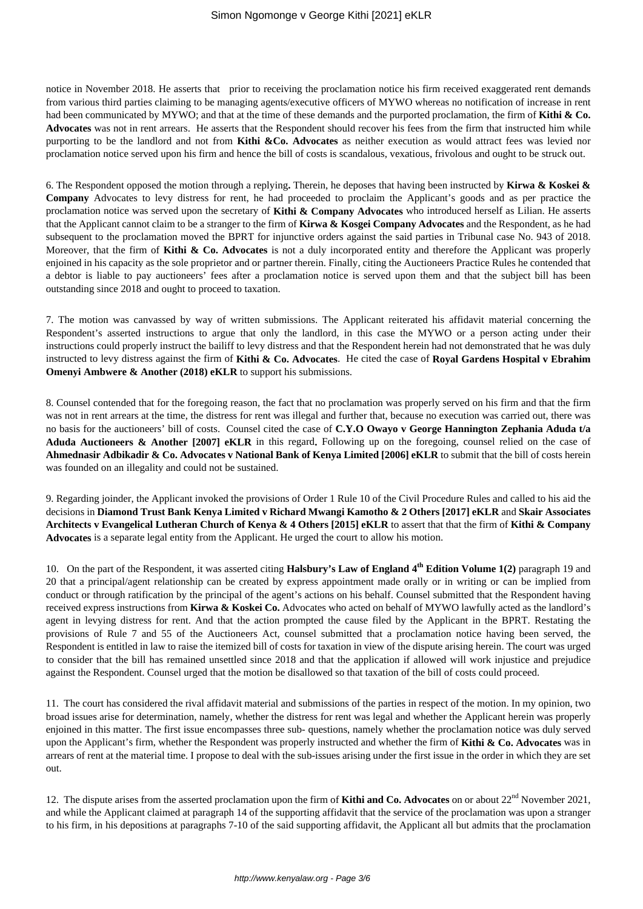notice in November 2018. He asserts that prior to receiving the proclamation notice his firm received exaggerated rent demands from various third parties claiming to be managing agents/executive officers of MYWO whereas no notification of increase in rent had been communicated by MYWO; and that at the time of these demands and the purported proclamation, the firm of **Kithi & Co. Advocates** was not in rent arrears. He asserts that the Respondent should recover his fees from the firm that instructed him while purporting to be the landlord and not from **Kithi &Co. Advocates** as neither execution as would attract fees was levied nor proclamation notice served upon his firm and hence the bill of costs is scandalous, vexatious, frivolous and ought to be struck out.

6. The Respondent opposed the motion through a replying**.** Therein, he deposes that having been instructed by **Kirwa & Koskei & Company** Advocates to levy distress for rent, he had proceeded to proclaim the Applicant's goods and as per practice the proclamation notice was served upon the secretary of **Kithi & Company Advocates** who introduced herself as Lilian. He asserts that the Applicant cannot claim to be a stranger to the firm of **Kirwa & Kosgei Company Advocates** and the Respondent, as he had subsequent to the proclamation moved the BPRT for injunctive orders against the said parties in Tribunal case No. 943 of 2018. Moreover, that the firm of **Kithi & Co. Advocates** is not a duly incorporated entity and therefore the Applicant was properly enjoined in his capacity as the sole proprietor and or partner therein. Finally, citing the Auctioneers Practice Rules he contended that a debtor is liable to pay auctioneers' fees after a proclamation notice is served upon them and that the subject bill has been outstanding since 2018 and ought to proceed to taxation.

7. The motion was canvassed by way of written submissions. The Applicant reiterated his affidavit material concerning the Respondent's asserted instructions to argue that only the landlord, in this case the MYWO or a person acting under their instructions could properly instruct the bailiff to levy distress and that the Respondent herein had not demonstrated that he was duly instructed to levy distress against the firm of **Kithi & Co. Advocates**. He cited the case of **Royal Gardens Hospital v Ebrahim Omenyi Ambwere & Another (2018) eKLR** to support his submissions.

8. Counsel contended that for the foregoing reason, the fact that no proclamation was properly served on his firm and that the firm was not in rent arrears at the time, the distress for rent was illegal and further that, because no execution was carried out, there was no basis for the auctioneers' bill of costs. Counsel cited the case of **C.Y.O Owayo v George Hannington Zephania Aduda t/a Aduda Auctioneers & Another [2007] eKLR** in this regard**.** Following up on the foregoing, counsel relied on the case of **Ahmednasir Adbikadir & Co. Advocates v National Bank of Kenya Limited [2006] eKLR** to submit that the bill of costs herein was founded on an illegality and could not be sustained.

9. Regarding joinder, the Applicant invoked the provisions of Order 1 Rule 10 of the Civil Procedure Rules and called to his aid the decisions in **Diamond Trust Bank Kenya Limited v Richard Mwangi Kamotho & 2 Others [2017] eKLR** and **Skair Associates Architects v Evangelical Lutheran Church of Kenya & 4 Others [2015] eKLR** to assert that that the firm of **Kithi & Company Advocates** is a separate legal entity from the Applicant. He urged the court to allow his motion.

10. On the part of the Respondent, it was asserted citing **Halsbury's Law of England 4th Edition Volume 1(2)** paragraph 19 and 20 that a principal/agent relationship can be created by express appointment made orally or in writing or can be implied from conduct or through ratification by the principal of the agent's actions on his behalf. Counsel submitted that the Respondent having received express instructions from **Kirwa & Koskei Co.** Advocates who acted on behalf of MYWO lawfully acted as the landlord's agent in levying distress for rent. And that the action prompted the cause filed by the Applicant in the BPRT. Restating the provisions of Rule 7 and 55 of the Auctioneers Act, counsel submitted that a proclamation notice having been served, the Respondent is entitled in law to raise the itemized bill of costs for taxation in view of the dispute arising herein. The court was urged to consider that the bill has remained unsettled since 2018 and that the application if allowed will work injustice and prejudice against the Respondent. Counsel urged that the motion be disallowed so that taxation of the bill of costs could proceed.

11. The court has considered the rival affidavit material and submissions of the parties in respect of the motion. In my opinion, two broad issues arise for determination, namely, whether the distress for rent was legal and whether the Applicant herein was properly enjoined in this matter. The first issue encompasses three sub- questions, namely whether the proclamation notice was duly served upon the Applicant's firm, whether the Respondent was properly instructed and whether the firm of **Kithi & Co. Advocates** was in arrears of rent at the material time. I propose to deal with the sub-issues arising under the first issue in the order in which they are set out.

12. The dispute arises from the asserted proclamation upon the firm of **Kithi and Co. Advocates** on or about  $22<sup>nd</sup>$  November 2021, and while the Applicant claimed at paragraph 14 of the supporting affidavit that the service of the proclamation was upon a stranger to his firm, in his depositions at paragraphs 7-10 of the said supporting affidavit, the Applicant all but admits that the proclamation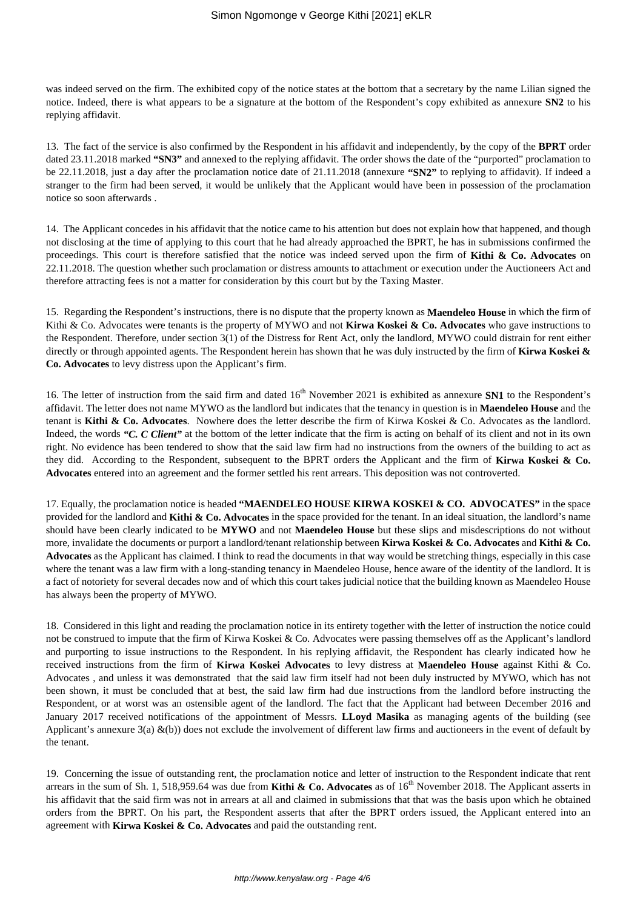was indeed served on the firm. The exhibited copy of the notice states at the bottom that a secretary by the name Lilian signed the notice. Indeed, there is what appears to be a signature at the bottom of the Respondent's copy exhibited as annexure **SN2** to his replying affidavit.

13. The fact of the service is also confirmed by the Respondent in his affidavit and independently, by the copy of the **BPRT** order dated 23.11.2018 marked **"SN3"** and annexed to the replying affidavit. The order shows the date of the "purported" proclamation to be 22.11.2018, just a day after the proclamation notice date of 21.11.2018 (annexure **"SN2"** to replying to affidavit). If indeed a stranger to the firm had been served, it would be unlikely that the Applicant would have been in possession of the proclamation notice so soon afterwards .

14. The Applicant concedes in his affidavit that the notice came to his attention but does not explain how that happened, and though not disclosing at the time of applying to this court that he had already approached the BPRT, he has in submissions confirmed the proceedings. This court is therefore satisfied that the notice was indeed served upon the firm of **Kithi & Co. Advocates** on 22.11.2018. The question whether such proclamation or distress amounts to attachment or execution under the Auctioneers Act and therefore attracting fees is not a matter for consideration by this court but by the Taxing Master.

15. Regarding the Respondent's instructions, there is no dispute that the property known as **Maendeleo House** in which the firm of Kithi & Co. Advocates were tenants is the property of MYWO and not **Kirwa Koskei & Co. Advocates** who gave instructions to the Respondent. Therefore, under section 3(1) of the Distress for Rent Act, only the landlord, MYWO could distrain for rent either directly or through appointed agents. The Respondent herein has shown that he was duly instructed by the firm of **Kirwa Koskei & Co. Advocates** to levy distress upon the Applicant's firm.

16. The letter of instruction from the said firm and dated  $16<sup>th</sup>$  November 2021 is exhibited as annexure **SN1** to the Respondent's affidavit. The letter does not name MYWO as the landlord but indicates that the tenancy in question is in **Maendeleo House** and the tenant is **Kithi & Co. Advocates**. Nowhere does the letter describe the firm of Kirwa Koskei & Co. Advocates as the landlord. Indeed, the words *"C. C Client"* at the bottom of the letter indicate that the firm is acting on behalf of its client and not in its own right. No evidence has been tendered to show that the said law firm had no instructions from the owners of the building to act as they did. According to the Respondent, subsequent to the BPRT orders the Applicant and the firm of **Kirwa Koskei & Co. Advocates** entered into an agreement and the former settled his rent arrears. This deposition was not controverted.

17. Equally, the proclamation notice is headed **"MAENDELEO HOUSE KIRWA KOSKEI & CO. ADVOCATES"** in the space provided for the landlord and **Kithi & Co. Advocates** in the space provided for the tenant. In an ideal situation, the landlord's name should have been clearly indicated to be **MYWO** and not **Maendeleo House** but these slips and misdescriptions do not without more, invalidate the documents or purport a landlord/tenant relationship between **Kirwa Koskei & Co. Advocates** and **Kithi & Co. Advocates** as the Applicant has claimed. I think to read the documents in that way would be stretching things, especially in this case where the tenant was a law firm with a long-standing tenancy in Maendeleo House, hence aware of the identity of the landlord. It is a fact of notoriety for several decades now and of which this court takes judicial notice that the building known as Maendeleo House has always been the property of MYWO.

18. Considered in this light and reading the proclamation notice in its entirety together with the letter of instruction the notice could not be construed to impute that the firm of Kirwa Koskei & Co. Advocates were passing themselves off as the Applicant's landlord and purporting to issue instructions to the Respondent. In his replying affidavit, the Respondent has clearly indicated how he received instructions from the firm of **Kirwa Koskei Advocates** to levy distress at **Maendeleo House** against Kithi & Co. Advocates , and unless it was demonstrated that the said law firm itself had not been duly instructed by MYWO, which has not been shown, it must be concluded that at best, the said law firm had due instructions from the landlord before instructing the Respondent, or at worst was an ostensible agent of the landlord. The fact that the Applicant had between December 2016 and January 2017 received notifications of the appointment of Messrs. **LLoyd Masika** as managing agents of the building (see Applicant's annexure  $3(a) \& (b)$  does not exclude the involvement of different law firms and auctioneers in the event of default by the tenant.

19. Concerning the issue of outstanding rent, the proclamation notice and letter of instruction to the Respondent indicate that rent arrears in the sum of Sh. 1, 518,959.64 was due from **Kithi & Co. Advocates** as of 16<sup>th</sup> November 2018. The Applicant asserts in his affidavit that the said firm was not in arrears at all and claimed in submissions that that was the basis upon which he obtained orders from the BPRT. On his part, the Respondent asserts that after the BPRT orders issued, the Applicant entered into an agreement with **Kirwa Koskei & Co. Advocates** and paid the outstanding rent.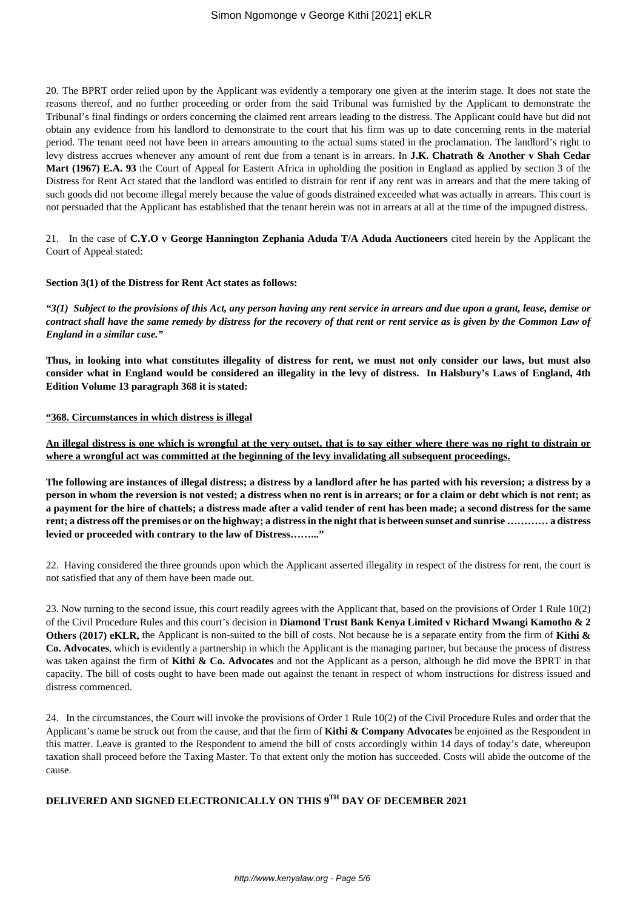20. The BPRT order relied upon by the Applicant was evidently a temporary one given at the interim stage. It does not state the reasons thereof, and no further proceeding or order from the said Tribunal was furnished by the Applicant to demonstrate the Tribunal's final findings or orders concerning the claimed rent arrears leading to the distress. The Applicant could have but did not obtain any evidence from his landlord to demonstrate to the court that his firm was up to date concerning rents in the material period. The tenant need not have been in arrears amounting to the actual sums stated in the proclamation. The landlord's right to levy distress accrues whenever any amount of rent due from a tenant is in arrears. In **J.K. Chatrath & Another v Shah Cedar Mart (1967) E.A. 93** the Court of Appeal for Eastern Africa in upholding the position in England as applied by section 3 of the Distress for Rent Act stated that the landlord was entitled to distrain for rent if any rent was in arrears and that the mere taking of such goods did not become illegal merely because the value of goods distrained exceeded what was actually in arrears. This court is not persuaded that the Applicant has established that the tenant herein was not in arrears at all at the time of the impugned distress.

21. In the case of **C.Y.O v George Hannington Zephania Aduda T/A Aduda Auctioneers** cited herein by the Applicant the Court of Appeal stated:

#### **Section 3(1) of the Distress for Rent Act states as follows:**

*"3(1) Subject to the provisions of this Act, any person having any rent service in arrears and due upon a grant, lease, demise or contract shall have the same remedy by distress for the recovery of that rent or rent service as is given by the Common Law of England in a similar case."*

**Thus, in looking into what constitutes illegality of distress for rent, we must not only consider our laws, but must also consider what in England would be considered an illegality in the levy of distress. In Halsbury's Laws of England, 4th Edition Volume 13 paragraph 368 it is stated:**

#### **"368. Circumstances in which distress is illegal**

**An illegal distress is one which is wrongful at the very outset, that is to say either where there was no right to distrain or where a wrongful act was committed at the beginning of the levy invalidating all subsequent proceedings.**

**The following are instances of illegal distress; a distress by a landlord after he has parted with his reversion; a distress by a person in whom the reversion is not vested; a distress when no rent is in arrears; or for a claim or debt which is not rent; as a payment for the hire of chattels; a distress made after a valid tender of rent has been made; a second distress for the same rent; a distress off the premises or on the highway; a distress in the night that is between sunset and sunrise ………… a distress levied or proceeded with contrary to the law of Distress……..."**

22. Having considered the three grounds upon which the Applicant asserted illegality in respect of the distress for rent, the court is not satisfied that any of them have been made out.

23. Now turning to the second issue, this court readily agrees with the Applicant that, based on the provisions of Order 1 Rule 10(2) of the Civil Procedure Rules and this court's decision in **Diamond Trust Bank Kenya Limited v Richard Mwangi Kamotho & 2 Others (2017) eKLR,** the Applicant is non-suited to the bill of costs. Not because he is a separate entity from the firm of **Kithi & Co. Advocates**, which is evidently a partnership in which the Applicant is the managing partner, but because the process of distress was taken against the firm of **Kithi & Co. Advocates** and not the Applicant as a person, although he did move the BPRT in that capacity. The bill of costs ought to have been made out against the tenant in respect of whom instructions for distress issued and distress commenced.

24. In the circumstances, the Court will invoke the provisions of Order 1 Rule 10(2) of the Civil Procedure Rules and order that the Applicant's name be struck out from the cause, and that the firm of **Kithi & Company Advocates** be enjoined as the Respondent in this matter. Leave is granted to the Respondent to amend the bill of costs accordingly within 14 days of today's date, whereupon taxation shall proceed before the Taxing Master. To that extent only the motion has succeeded. Costs will abide the outcome of the cause.

# **DELIVERED AND SIGNED ELECTRONICALLY ON THIS 9TH DAY OF DECEMBER 2021**